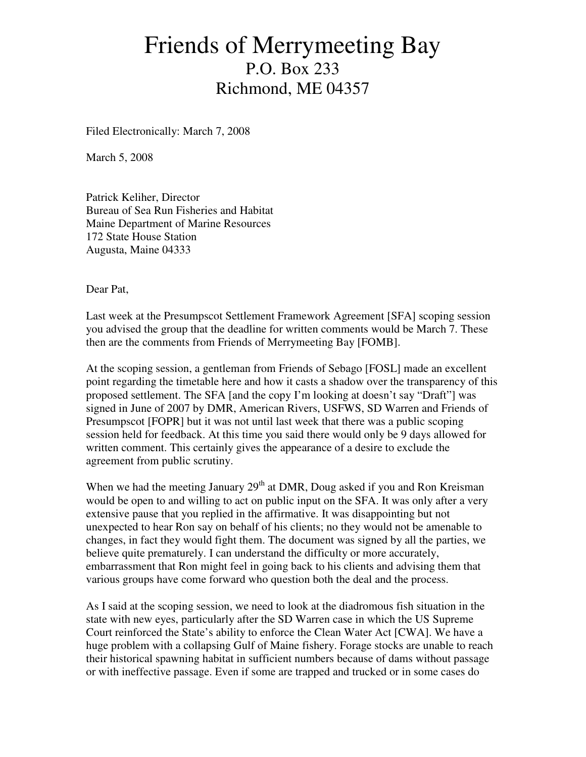# Friends of Merrymeeting Bay P.O. Box 233 Richmond, ME 04357

Filed Electronically: March 7, 2008

March 5, 2008

Patrick Keliher, Director Bureau of Sea Run Fisheries and Habitat Maine Department of Marine Resources 172 State House Station Augusta, Maine 04333

Dear Pat,

Last week at the Presumpscot Settlement Framework Agreement [SFA] scoping session you advised the group that the deadline for written comments would be March 7. These then are the comments from Friends of Merrymeeting Bay [FOMB].

At the scoping session, a gentleman from Friends of Sebago [FOSL] made an excellent point regarding the timetable here and how it casts a shadow over the transparency of this proposed settlement. The SFA [and the copy I'm looking at doesn't say "Draft"] was signed in June of 2007 by DMR, American Rivers, USFWS, SD Warren and Friends of Presumpscot [FOPR] but it was not until last week that there was a public scoping session held for feedback. At this time you said there would only be 9 days allowed for written comment. This certainly gives the appearance of a desire to exclude the agreement from public scrutiny.

When we had the meeting January  $29<sup>th</sup>$  at DMR, Doug asked if you and Ron Kreisman would be open to and willing to act on public input on the SFA. It was only after a very extensive pause that you replied in the affirmative. It was disappointing but not unexpected to hear Ron say on behalf of his clients; no they would not be amenable to changes, in fact they would fight them. The document was signed by all the parties, we believe quite prematurely. I can understand the difficulty or more accurately, embarrassment that Ron might feel in going back to his clients and advising them that various groups have come forward who question both the deal and the process.

As I said at the scoping session, we need to look at the diadromous fish situation in the state with new eyes, particularly after the SD Warren case in which the US Supreme Court reinforced the State's ability to enforce the Clean Water Act [CWA]. We have a huge problem with a collapsing Gulf of Maine fishery. Forage stocks are unable to reach their historical spawning habitat in sufficient numbers because of dams without passage or with ineffective passage. Even if some are trapped and trucked or in some cases do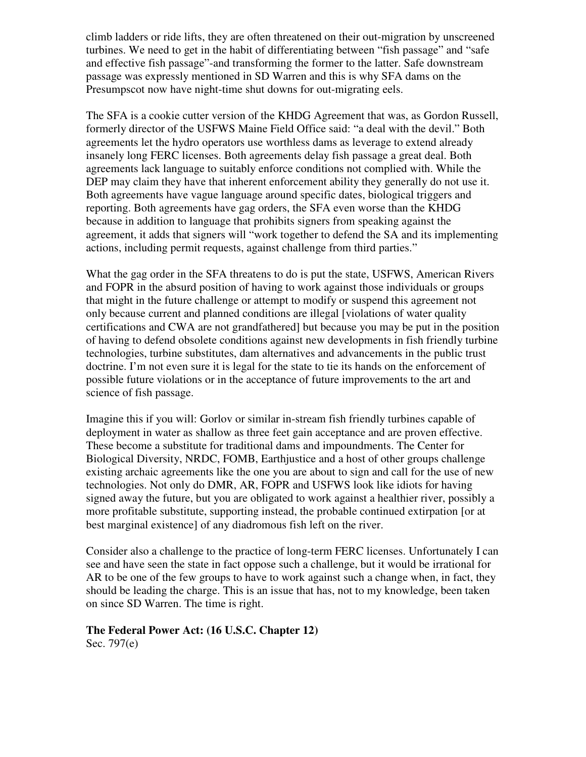climb ladders or ride lifts, they are often threatened on their out-migration by unscreened turbines. We need to get in the habit of differentiating between "fish passage" and "safe and effective fish passage"-and transforming the former to the latter. Safe downstream passage was expressly mentioned in SD Warren and this is why SFA dams on the Presumpscot now have night-time shut downs for out-migrating eels.

The SFA is a cookie cutter version of the KHDG Agreement that was, as Gordon Russell, formerly director of the USFWS Maine Field Office said: "a deal with the devil." Both agreements let the hydro operators use worthless dams as leverage to extend already insanely long FERC licenses. Both agreements delay fish passage a great deal. Both agreements lack language to suitably enforce conditions not complied with. While the DEP may claim they have that inherent enforcement ability they generally do not use it. Both agreements have vague language around specific dates, biological triggers and reporting. Both agreements have gag orders, the SFA even worse than the KHDG because in addition to language that prohibits signers from speaking against the agreement, it adds that signers will "work together to defend the SA and its implementing actions, including permit requests, against challenge from third parties."

What the gag order in the SFA threatens to do is put the state, USFWS, American Rivers and FOPR in the absurd position of having to work against those individuals or groups that might in the future challenge or attempt to modify or suspend this agreement not only because current and planned conditions are illegal [violations of water quality certifications and CWA are not grandfathered] but because you may be put in the position of having to defend obsolete conditions against new developments in fish friendly turbine technologies, turbine substitutes, dam alternatives and advancements in the public trust doctrine. I'm not even sure it is legal for the state to tie its hands on the enforcement of possible future violations or in the acceptance of future improvements to the art and science of fish passage.

Imagine this if you will: Gorlov or similar in-stream fish friendly turbines capable of deployment in water as shallow as three feet gain acceptance and are proven effective. These become a substitute for traditional dams and impoundments. The Center for Biological Diversity, NRDC, FOMB, Earthjustice and a host of other groups challenge existing archaic agreements like the one you are about to sign and call for the use of new technologies. Not only do DMR, AR, FOPR and USFWS look like idiots for having signed away the future, but you are obligated to work against a healthier river, possibly a more profitable substitute, supporting instead, the probable continued extirpation [or at best marginal existence] of any diadromous fish left on the river.

Consider also a challenge to the practice of long-term FERC licenses. Unfortunately I can see and have seen the state in fact oppose such a challenge, but it would be irrational for AR to be one of the few groups to have to work against such a change when, in fact, they should be leading the charge. This is an issue that has, not to my knowledge, been taken on since SD Warren. The time is right.

#### **The Federal Power Act: (16 U.S.C. Chapter 12)**  Sec. 797(e)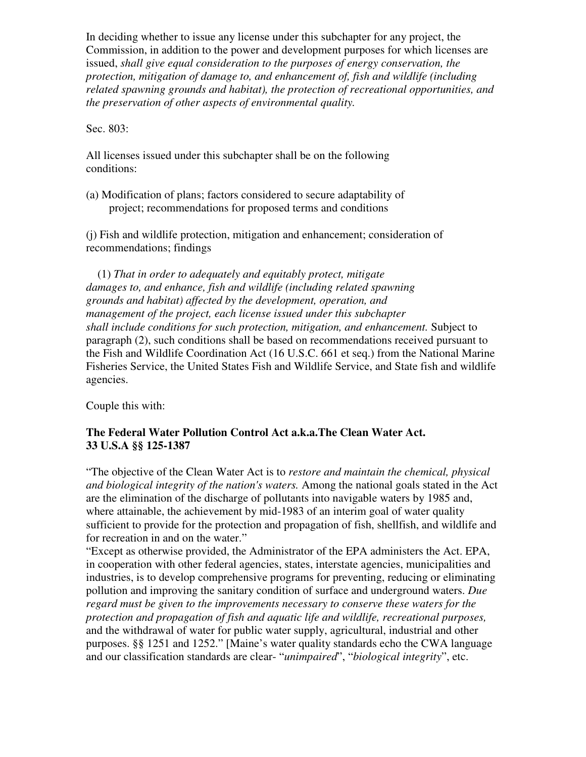In deciding whether to issue any license under this subchapter for any project, the Commission, in addition to the power and development purposes for which licenses are issued, *shall give equal consideration to the purposes of energy conservation, the protection, mitigation of damage to, and enhancement of, fish and wildlife (including related spawning grounds and habitat), the protection of recreational opportunities, and the preservation of other aspects of environmental quality.* 

Sec. 803:

All licenses issued under this subchapter shall be on the following conditions:

(a) Modification of plans; factors considered to secure adaptability of project; recommendations for proposed terms and conditions

(j) Fish and wildlife protection, mitigation and enhancement; consideration of recommendations; findings

 (1) *That in order to adequately and equitably protect, mitigate damages to, and enhance, fish and wildlife (including related spawning grounds and habitat) affected by the development, operation, and management of the project, each license issued under this subchapter shall include conditions for such protection, mitigation, and enhancement.* Subject to paragraph (2), such conditions shall be based on recommendations received pursuant to the Fish and Wildlife Coordination Act (16 U.S.C. 661 et seq.) from the National Marine Fisheries Service, the United States Fish and Wildlife Service, and State fish and wildlife agencies.

Couple this with:

### **The Federal Water Pollution Control Act a.k.a.The Clean Water Act. 33 U.S.A §§ 125-1387**

"The objective of the Clean Water Act is to *restore and maintain the chemical, physical and biological integrity of the nation's waters.* Among the national goals stated in the Act are the elimination of the discharge of pollutants into navigable waters by 1985 and, where attainable, the achievement by mid-1983 of an interim goal of water quality sufficient to provide for the protection and propagation of fish, shellfish, and wildlife and for recreation in and on the water."

"Except as otherwise provided, the Administrator of the EPA administers the Act. EPA, in cooperation with other federal agencies, states, interstate agencies, municipalities and industries, is to develop comprehensive programs for preventing, reducing or eliminating pollution and improving the sanitary condition of surface and underground waters. *Due regard must be given to the improvements necessary to conserve these waters for the protection and propagation of fish and aquatic life and wildlife, recreational purposes,* and the withdrawal of water for public water supply, agricultural, industrial and other purposes. §§ 1251 and 1252." [Maine's water quality standards echo the CWA language and our classification standards are clear- "*unimpaired*", "*biological integrity*", etc.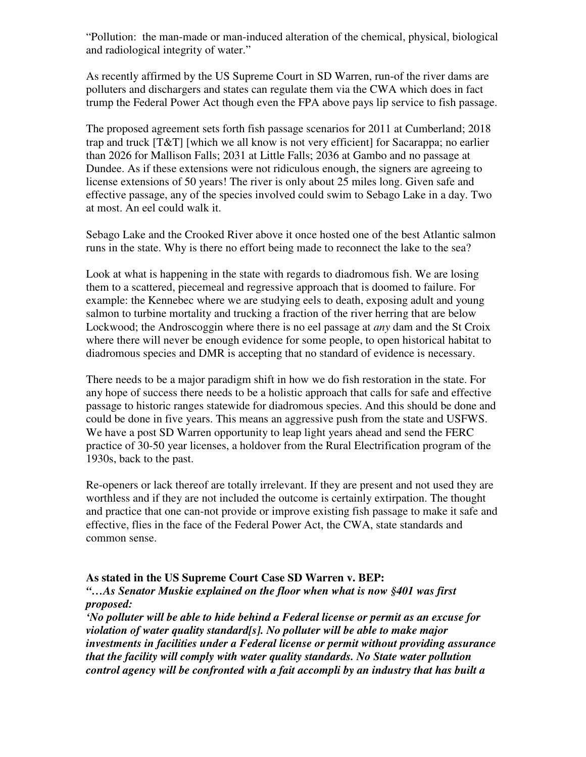"Pollution: the man-made or man-induced alteration of the chemical, physical, biological and radiological integrity of water."

As recently affirmed by the US Supreme Court in SD Warren, run-of the river dams are polluters and dischargers and states can regulate them via the CWA which does in fact trump the Federal Power Act though even the FPA above pays lip service to fish passage.

The proposed agreement sets forth fish passage scenarios for 2011 at Cumberland; 2018 trap and truck [T&T] [which we all know is not very efficient] for Sacarappa; no earlier than 2026 for Mallison Falls; 2031 at Little Falls; 2036 at Gambo and no passage at Dundee. As if these extensions were not ridiculous enough, the signers are agreeing to license extensions of 50 years! The river is only about 25 miles long. Given safe and effective passage, any of the species involved could swim to Sebago Lake in a day. Two at most. An eel could walk it.

Sebago Lake and the Crooked River above it once hosted one of the best Atlantic salmon runs in the state. Why is there no effort being made to reconnect the lake to the sea?

Look at what is happening in the state with regards to diadromous fish. We are losing them to a scattered, piecemeal and regressive approach that is doomed to failure. For example: the Kennebec where we are studying eels to death, exposing adult and young salmon to turbine mortality and trucking a fraction of the river herring that are below Lockwood; the Androscoggin where there is no eel passage at *any* dam and the St Croix where there will never be enough evidence for some people, to open historical habitat to diadromous species and DMR is accepting that no standard of evidence is necessary.

There needs to be a major paradigm shift in how we do fish restoration in the state. For any hope of success there needs to be a holistic approach that calls for safe and effective passage to historic ranges statewide for diadromous species. And this should be done and could be done in five years. This means an aggressive push from the state and USFWS. We have a post SD Warren opportunity to leap light years ahead and send the FERC practice of 30-50 year licenses, a holdover from the Rural Electrification program of the 1930s, back to the past.

Re-openers or lack thereof are totally irrelevant. If they are present and not used they are worthless and if they are not included the outcome is certainly extirpation. The thought and practice that one can-not provide or improve existing fish passage to make it safe and effective, flies in the face of the Federal Power Act, the CWA, state standards and common sense.

#### **As stated in the US Supreme Court Case SD Warren v. BEP:**

*"…As Senator Muskie explained on the floor when what is now §401 was first proposed:* 

*'No polluter will be able to hide behind a Federal license or permit as an excuse for violation of water quality standard[s]. No polluter will be able to make major investments in facilities under a Federal license or permit without providing assurance that the facility will comply with water quality standards. No State water pollution control agency will be confronted with a fait accompli by an industry that has built a*